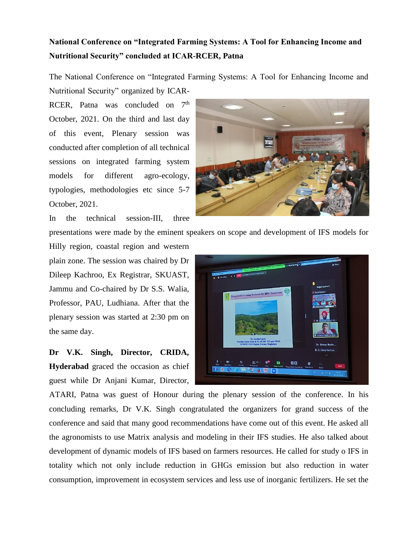## **National Conference on "Integrated Farming Systems: A Tool for Enhancing Income and Nutritional Security" concluded at ICAR-RCER, Patna**

The National Conference on "Integrated Farming Systems: A Tool for Enhancing Income and

Nutritional Security" organized by ICAR-RCER, Patna was concluded on  $7<sup>th</sup>$ October, 2021. On the third and last day of this event, Plenary session was conducted after completion of all technical sessions on integrated farming system models for different agro-ecology, typologies, methodologies etc since 5-7 October, 2021.

In the technical session-III, three

presentations were made by the eminent speakers on scope and development of IFS models for

Hilly region, coastal region and western plain zone. The session was chaired by Dr Dileep Kachroo, Ex Registrar, SKUAST, Jammu and Co-chaired by Dr S.S. Walia, Professor, PAU, Ludhiana. After that the plenary session was started at 2:30 pm on the same day.

**Dr V.K. Singh, Director, CRIDA, Hyderabad** graced the occasion as chief guest while Dr Anjani Kumar, Director,



ATARI, Patna was guest of Honour during the plenary session of the conference. In his concluding remarks, Dr V.K. Singh congratulated the organizers for grand success of the conference and said that many good recommendations have come out of this event. He asked all the agronomists to use Matrix analysis and modeling in their IFS studies. He also talked about development of dynamic models of IFS based on farmers resources. He called for study o IFS in totality which not only include reduction in GHGs emission but also reduction in water consumption, improvement in ecosystem services and less use of inorganic fertilizers. He set the